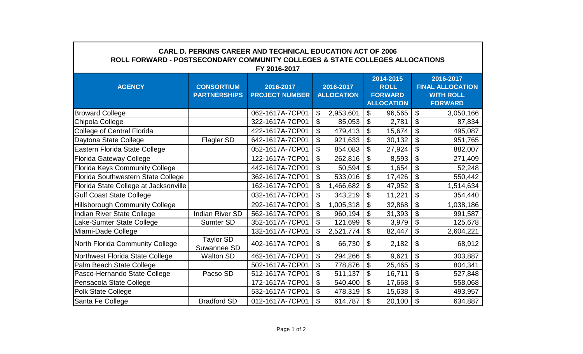| <b>CARL D. PERKINS CAREER AND TECHNICAL EDUCATION ACT OF 2006</b><br>ROLL FORWARD - POSTSECONDARY COMMUNITY COLLEGES & STATE COLLEGES ALLOCATIONS<br>FY 2016-2017 |                                          |                                    |                                |           |                                                                 |        |                                                                            |           |  |  |  |  |
|-------------------------------------------------------------------------------------------------------------------------------------------------------------------|------------------------------------------|------------------------------------|--------------------------------|-----------|-----------------------------------------------------------------|--------|----------------------------------------------------------------------------|-----------|--|--|--|--|
| <b>AGENCY</b>                                                                                                                                                     | <b>CONSORTIUM</b><br><b>PARTNERSHIPS</b> | 2016-2017<br><b>PROJECT NUMBER</b> | 2016-2017<br><b>ALLOCATION</b> |           | 2014-2015<br><b>ROLL</b><br><b>FORWARD</b><br><b>ALLOCATION</b> |        | 2016-2017<br><b>FINAL ALLOCATION</b><br><b>WITH ROLL</b><br><b>FORWARD</b> |           |  |  |  |  |
| <b>Broward College</b>                                                                                                                                            |                                          | 062-1617A-7CP01                    | \$                             | 2,953,601 | \$                                                              | 96,565 | $\boldsymbol{\mathsf{S}}$                                                  | 3,050,166 |  |  |  |  |
| Chipola College                                                                                                                                                   |                                          | 322-1617A-7CP01                    | \$                             | 85,053    | \$                                                              | 2,781  | \$                                                                         | 87,834    |  |  |  |  |
| College of Central Florida                                                                                                                                        |                                          | 422-1617A-7CP01                    | \$                             | 479,413   | \$                                                              | 15,674 | \$                                                                         | 495,087   |  |  |  |  |
| Daytona State College                                                                                                                                             | Flagler SD                               | 642-1617A-7CP01                    | \$                             | 921,633   | \$                                                              | 30,132 | \$                                                                         | 951,765   |  |  |  |  |
| Eastern Florida State College                                                                                                                                     |                                          | 052-1617A-7CP01                    | \$                             | 854,083   | \$                                                              | 27,924 | \$                                                                         | 882,007   |  |  |  |  |
| <b>Florida Gateway College</b>                                                                                                                                    |                                          | 122-1617A-7CP01                    | \$                             | 262,816   | $\boldsymbol{\mathsf{S}}$                                       | 8,593  | \$                                                                         | 271,409   |  |  |  |  |
| <b>Florida Keys Community College</b>                                                                                                                             |                                          | 442-1617A-7CP01                    | \$                             | 50,594    | \$                                                              | 1,654  | \$                                                                         | 52,248    |  |  |  |  |
| Florida Southwestern State College                                                                                                                                |                                          | 362-1617A-7CP01                    | \$                             | 533,016   | $\boldsymbol{\mathsf{\$}}$                                      | 17,426 | $\boldsymbol{\mathsf{S}}$                                                  | 550,442   |  |  |  |  |
| Florida State College at Jacksonville                                                                                                                             |                                          | 162-1617A-7CP01                    | \$                             | 1,466,682 | \$                                                              | 47,952 | $\boldsymbol{\mathsf{S}}$                                                  | 1,514,634 |  |  |  |  |
| <b>Gulf Coast State College</b>                                                                                                                                   |                                          | 032-1617A-7CP01                    | \$                             | 343,219   | \$                                                              | 11,221 | \$                                                                         | 354,440   |  |  |  |  |
| <b>Hillsborough Community College</b>                                                                                                                             |                                          | 292-1617A-7CP01                    | \$                             | 1,005,318 | \$                                                              | 32,868 | \$                                                                         | 1,038,186 |  |  |  |  |
| <b>Indian River State College</b>                                                                                                                                 | <b>Indian River SD</b>                   | 562-1617A-7CP01                    | \$                             | 960,194   | \$                                                              | 31,393 | \$                                                                         | 991,587   |  |  |  |  |
| Lake-Sumter State College                                                                                                                                         | <b>Sumter SD</b>                         | 352-1617A-7CP01                    | \$                             | 121,699   | \$                                                              | 3,979  | $\mathfrak{L}$                                                             | 125,678   |  |  |  |  |
| Miami-Dade College                                                                                                                                                |                                          | 132-1617A-7CP01                    | \$                             | 2,521,774 | \$                                                              | 82,447 | \$                                                                         | 2,604,221 |  |  |  |  |
| North Florida Community College                                                                                                                                   | <b>Taylor SD</b><br>Suwannee SD          | 402-1617A-7CP01                    | \$                             | 66,730    | \$                                                              | 2,182  | \$                                                                         | 68,912    |  |  |  |  |
| Northwest Florida State College                                                                                                                                   | <b>Walton SD</b>                         | 462-1617A-7CP01                    | \$                             | 294,266   | \$                                                              | 9,621  | \$                                                                         | 303,887   |  |  |  |  |
| Palm Beach State College                                                                                                                                          |                                          | 502-1617A-7CP01                    | \$                             | 778,876   | \$                                                              | 25,465 | \$                                                                         | 804,341   |  |  |  |  |
| Pasco-Hernando State College                                                                                                                                      | Pacso SD                                 | 512-1617A-7CP01                    | \$                             | 511,137   | \$                                                              | 16,711 | \$                                                                         | 527,848   |  |  |  |  |
| Pensacola State College                                                                                                                                           |                                          | 172-1617A-7CP01                    | \$                             | 540,400   | \$                                                              | 17,668 | \$                                                                         | 558,068   |  |  |  |  |
| <b>Polk State College</b>                                                                                                                                         |                                          | 532-1617A-7CP01                    | \$                             | 478,319   | \$                                                              | 15,638 | \$                                                                         | 493,957   |  |  |  |  |
| Santa Fe College                                                                                                                                                  | <b>Bradford SD</b>                       | 012-1617A-7CP01                    | \$                             | 614,787   | \$                                                              | 20,100 | \$                                                                         | 634,887   |  |  |  |  |